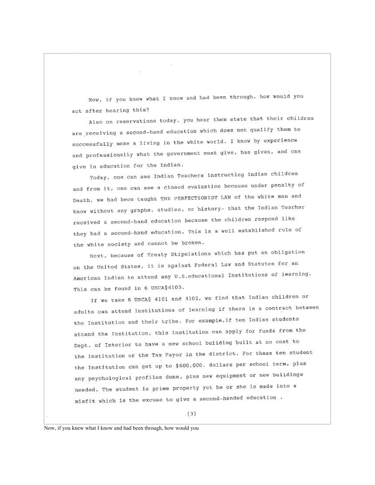Now, if you knew what I know and had been through, how would you act after hearing this?

 $\sim$ 

Also on reservations today, you hear them state that their children are receiving a second-hand education which does not qualify them to successfully make a living in the white world. I know by experience and professionally what the government must give, has given, and can give in education for the Indian.

Today, one can see Indian Teachers instructing Indian children and from it, one can see a closed evaluation because under penalty of Death, we had been taught THE PERFECTIONIST LAW of the white man and know without any graphs, studies, or history- that the Indian Teacher received a second-hand education because the children respond like they had a second-hand education. This is a well established rule of the white society and cannot be broken.

Next, because of Treaty Stipulations which has put an obligation on the United States, it is against Federal Law and Statutes for an American Indian to attend any U.S. educational Institutions of learning. This can be found in 6 USCA§4103.

If we take 6 USCA& 4101 and 4102, we find that Indian children or adults can attend Institutions of learning if there is a contract between the Institution and their tribe. For example, if ten Indian students attend the Institution, this Institution can apply for funds from the Dept. of Interior to have a new school building built at no cost to the Institution or the Tax Payor in the district. For these ten student the Institution can get up to \$600,000. dollars per school term, plus any psychological profiles done, plus new equipment or new buildings needed. The student is prime property yet he or she is made into a misfit which is the excuse to give a second-handed education..

Now, if you knew what I know and had been through, how would you